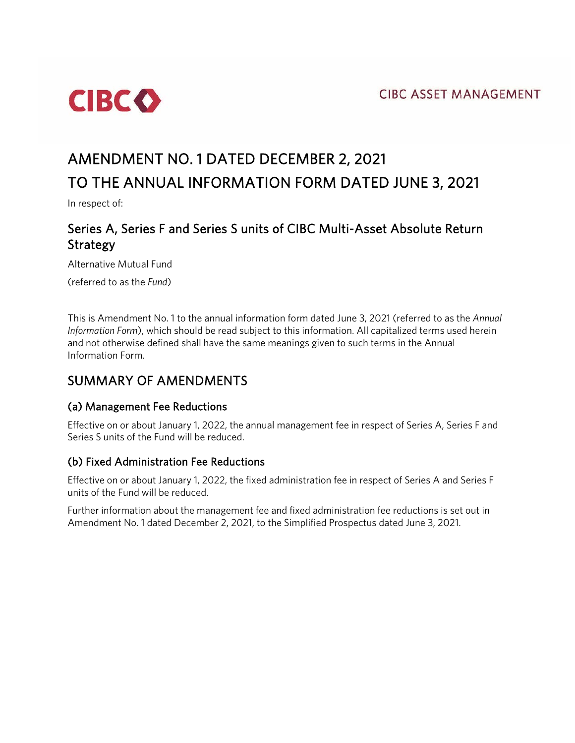**CIBC ASSET MANAGEMENT** 



# AMENDMENT NO. 1 DATED DECEMBER 2, 2021 TO THE ANNUAL INFORMATION FORM DATED JUNE 3, 2021

In respect of:

# Series A, Series F and Series S units of CIBC Multi-Asset Absolute Return Strategy

Alternative Mutual Fund

(referred to as the *Fund*)

This is Amendment No. 1 to the annual information form dated June 3, 2021 (referred to as the *Annual Information Form*), which should be read subject to this information. All capitalized terms used herein and not otherwise defined shall have the same meanings given to such terms in the Annual Information Form.

## SUMMARY OF AMENDMENTS

### (a) Management Fee Reductions

Effective on or about January 1, 2022, the annual management fee in respect of Series A, Series F and Series S units of the Fund will be reduced.

#### (b) Fixed Administration Fee Reductions

Effective on or about January 1, 2022, the fixed administration fee in respect of Series A and Series F units of the Fund will be reduced.

Further information about the management fee and fixed administration fee reductions is set out in Amendment No. 1 dated December 2, 2021, to the Simplified Prospectus dated June 3, 2021.